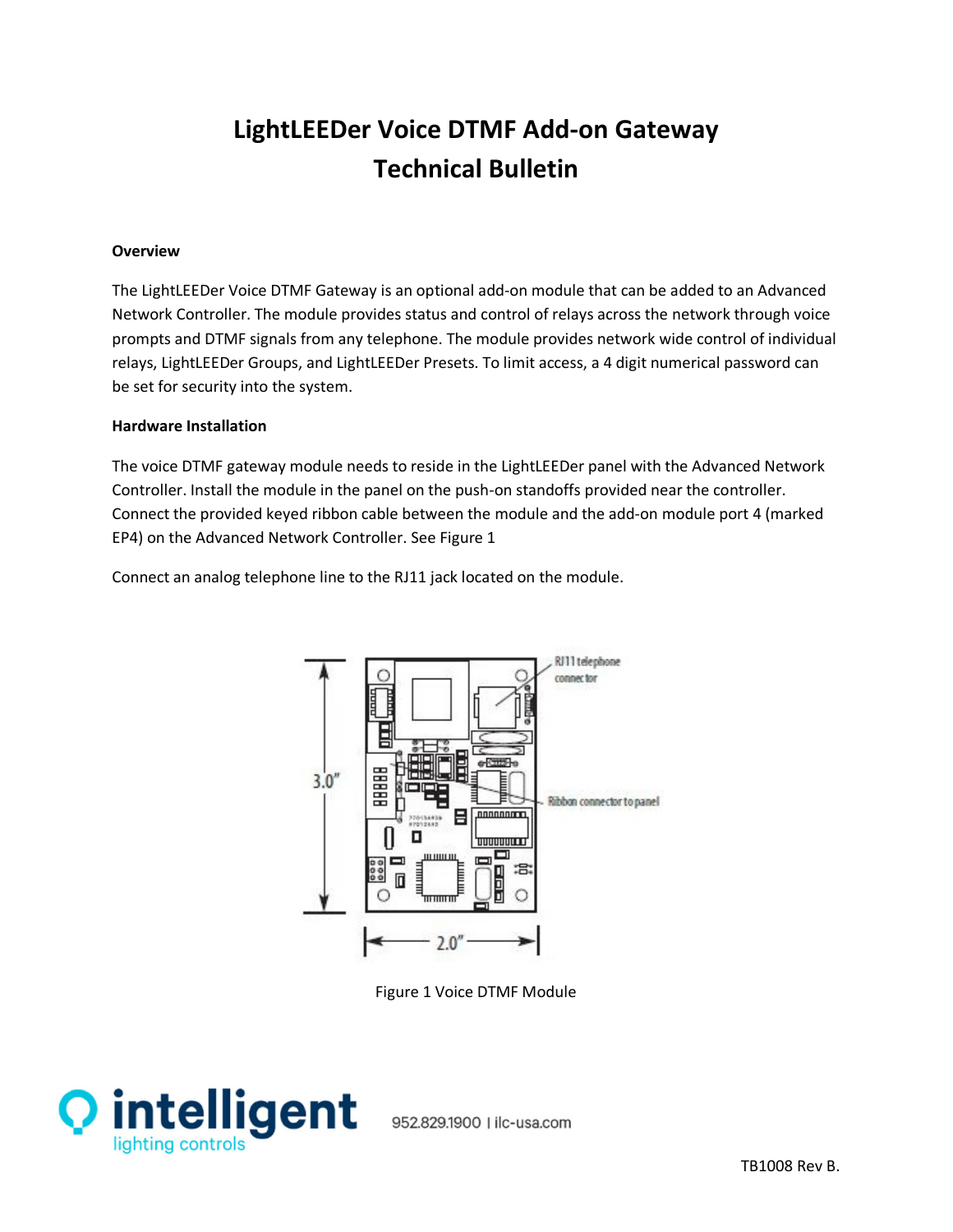# **LightLEEDer Voice DTMF Add-on Gateway Technical Bulletin**

# **Overview**

The LightLEEDer Voice DTMF Gateway is an optional add-on module that can be added to an Advanced Network Controller. The module provides status and control of relays across the network through voice prompts and DTMF signals from any telephone. The module provides network wide control of individual relays, LightLEEDer Groups, and LightLEEDer Presets. To limit access, a 4 digit numerical password can be set for security into the system.

# **Hardware Installation**

The voice DTMF gateway module needs to reside in the LightLEEDer panel with the Advanced Network Controller. Install the module in the panel on the push-on standoffs provided near the controller. Connect the provided keyed ribbon cable between the module and the add-on module port 4 (marked EP4) on the Advanced Network Controller. See Figure 1

Connect an analog telephone line to the RJ11 jack located on the module.



Figure 1 Voice DTMF Module



952.829.1900 | ilc-usa.com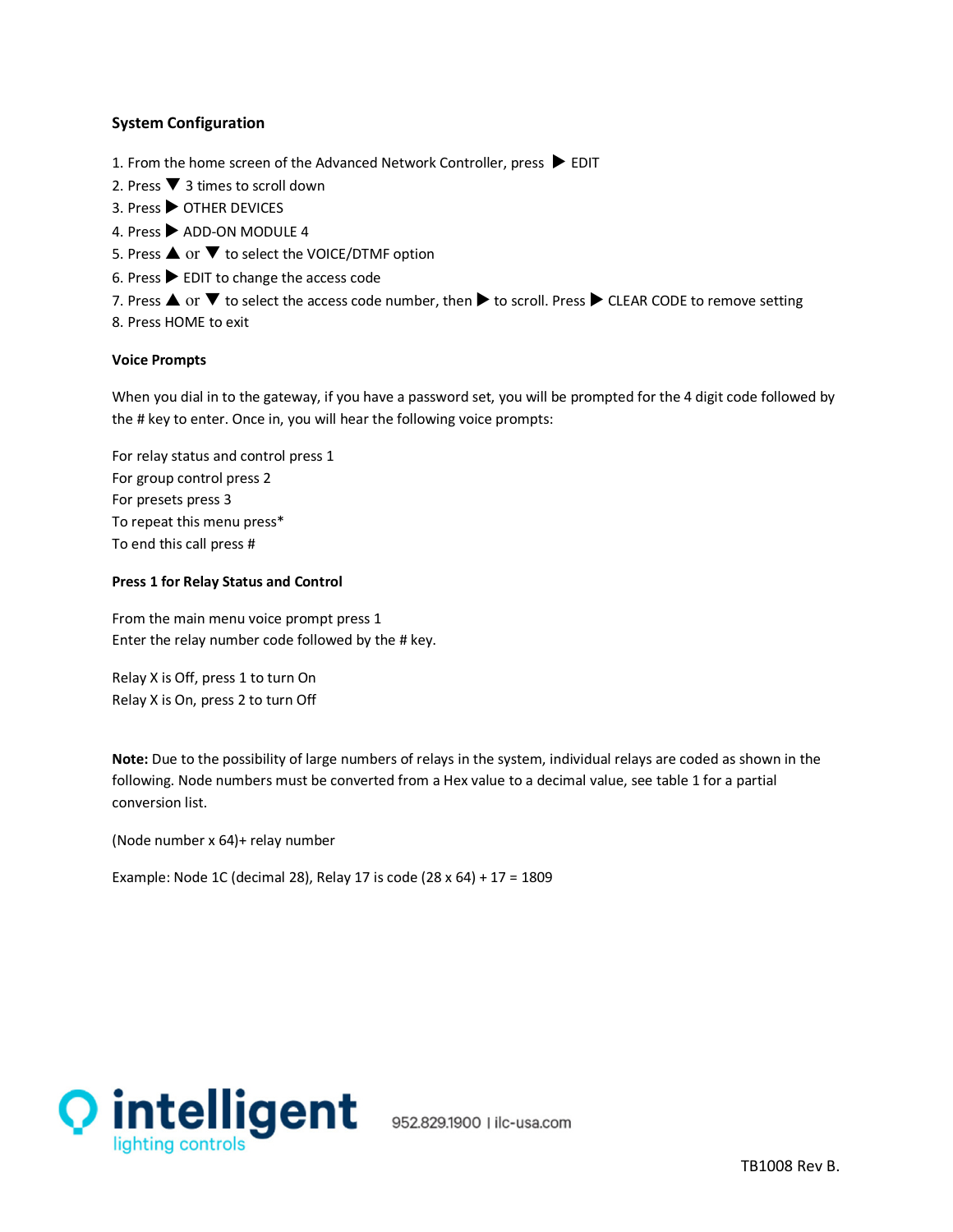# **System Configuration**

- 1. From the home screen of the Advanced Network Controller, press  $\blacktriangleright$  EDIT
- 2. Press  $\blacktriangledown$  3 times to scroll down
- 3. Press ▶ OTHER DEVICES
- 4. Press > ADD-ON MODULE 4
- 5. Press  $\triangle$  or  $\nabla$  to select the VOICE/DTMF option
- 6. Press  $\blacktriangleright$  EDIT to change the access code
- 7. Press  $\triangle$  or  $\nabla$  to select the access code number, then  $\triangleright$  to scroll. Press  $\triangleright$  CLEAR CODE to remove setting
- 8. Press HOME to exit

#### **Voice Prompts**

When you dial in to the gateway, if you have a password set, you will be prompted for the 4 digit code followed by the # key to enter. Once in, you will hear the following voice prompts:

For relay status and control press 1 For group control press 2 For presets press 3 To repeat this menu press\* To end this call press #

#### **Press 1 for Relay Status and Control**

From the main menu voice prompt press 1 Enter the relay number code followed by the # key.

Relay X is Off, press 1 to turn On Relay X is On, press 2 to turn Off

**Note:** Due to the possibility of large numbers of relays in the system, individual relays are coded as shown in the following. Node numbers must be converted from a Hex value to a decimal value, see table 1 for a partial conversion list.

(Node number x 64)+ relay number

Example: Node 1C (decimal 28), Relay 17 is code (28 x 64) + 17 = 1809